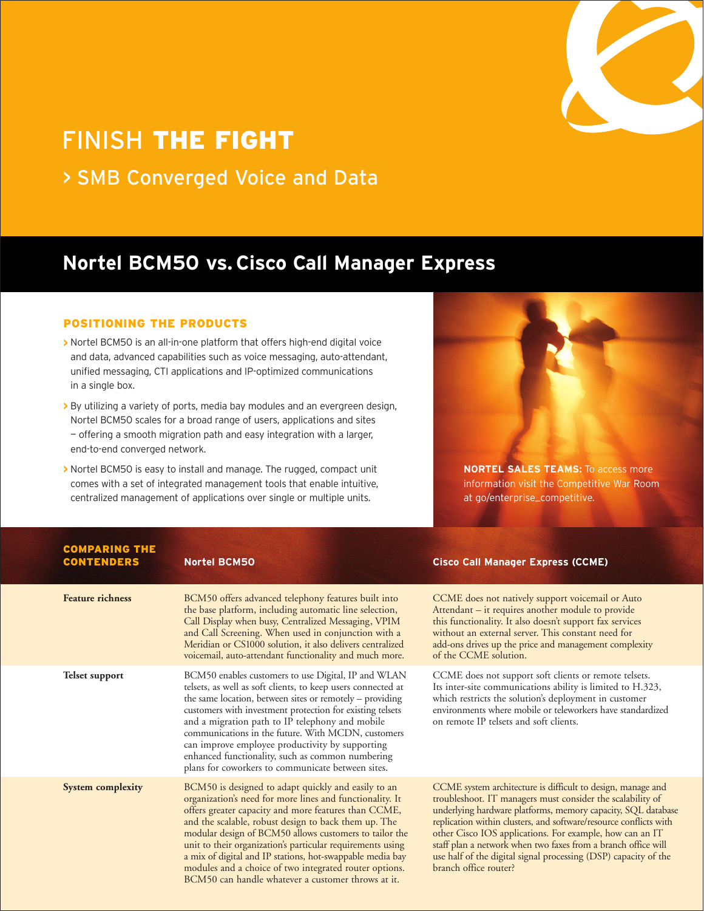

# FINISH **THE FIGHT**

> SMB Converged Voice and Data

# **Nortel BCM50 vs. Cisco Call Manager Express**

## **POSITIONING THE PRODUCTS**

- **>** Nortel BCM50 is an all-in-one platform that offers high-end digital voice and data, advanced capabilities such as voice messaging, auto-attendant, unified messaging, CTI applications and IP-optimized communications in a single box.
- **>** By utilizing a variety of ports, media bay modules and an evergreen design, Nortel BCM50 scales for a broad range of users, applications and sites — offering a smooth migration path and easy integration with a larger, end-to-end converged network.
- **>** Nortel BCM50 is easy to install and manage. The rugged, compact unit comes with a set of integrated management tools that enable intuitive, centralized management of applications over single or multiple units.



**NORTEL SALES TEAMS:** To access more information visit the Competitive War Room at go/enterprise\_competitive.

#### **COMPARING THE CONTENDERS**

# **Nortel BCM50**

| <b>Feature richness</b>  | BCM50 offers advanced telephony features built into<br>the base platform, including automatic line selection,<br>Call Display when busy, Centralized Messaging, VPIM<br>and Call Screening. When used in conjunction with a<br>Meridian or CS1000 solution, it also delivers centralized<br>voicemail, auto-attendant functionality and much more.                                                                                                                                                                                   | <b>CCME</b> does<br>Attendant - i<br>this function:<br>without an ex<br>add-ons drive<br>of the CCMI                                            |
|--------------------------|--------------------------------------------------------------------------------------------------------------------------------------------------------------------------------------------------------------------------------------------------------------------------------------------------------------------------------------------------------------------------------------------------------------------------------------------------------------------------------------------------------------------------------------|-------------------------------------------------------------------------------------------------------------------------------------------------|
| Telset support           | BCM50 enables customers to use Digital, IP and WLAN<br>telsets, as well as soft clients, to keep users connected at<br>the same location, between sites or remotely – providing<br>customers with investment protection for existing telsets<br>and a migration path to IP telephony and mobile<br>communications in the future. With MCDN, customers<br>can improve employee productivity by supporting<br>enhanced functionality, such as common numbering<br>plans for coworkers to communicate between sites.                    | CCME does<br>Its inter-site o<br>which restrict<br>environments<br>on remote IP                                                                 |
| <b>System complexity</b> | BCM50 is designed to adapt quickly and easily to an<br>organization's need for more lines and functionality. It<br>offers greater capacity and more features than CCME,<br>and the scalable, robust design to back them up. The<br>modular design of BCM50 allows customers to tailor the<br>unit to their organization's particular requirements using<br>a mix of digital and IP stations, hot-swappable media bay<br>modules and a choice of two integrated router options.<br>BCM50 can handle whatever a customer throws at it. | <b>CCME</b> system<br>troubleshoot.<br>underlying ha<br>replication wit<br>other Cisco I<br>staff plan a ne<br>use half of the<br>branch office |

# **Cisco Call Manager Express (CCME)**

not natively support voicemail or Auto it requires another module to provide ality. It also doesn't support fax services xternal server. This constant need for as up the price and management complexity E solution.

not support soft clients or remote telsets.  $commu$  incommunications ability is limited to H.323, ts the solution's deployment in customer where mobile or teleworkers have standardized telsets and soft clients.

m architecture is difficult to design, manage and IT managers must consider the scalability of rdware platforms, memory capacity, SQL database thin clusters, and software/resource conflicts with OS applications. For example, how can an IT twork when two faxes from a branch office will e digital signal processing (DSP) capacity of the router?